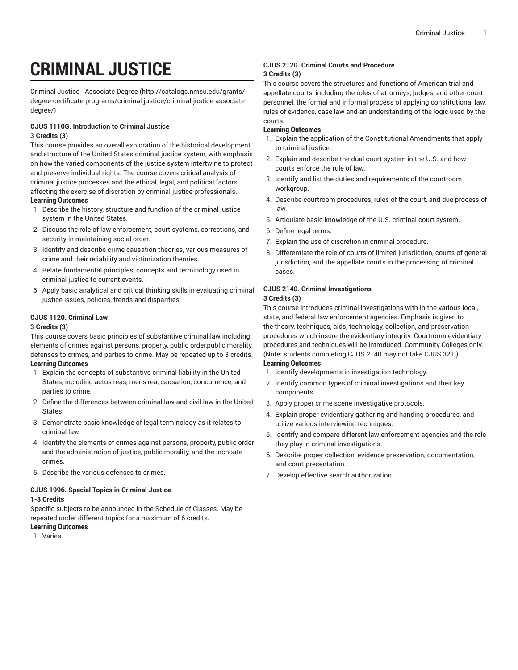# **CRIMINAL JUSTICE**

Criminal Justice - [Associate](http://catalogs.nmsu.edu/grants/degree-certificate-programs/criminal-justice/criminal-justice-associate-degree/) Degree ([http://catalogs.nmsu.edu/grants/](http://catalogs.nmsu.edu/grants/degree-certificate-programs/criminal-justice/criminal-justice-associate-degree/) [degree-certificate-programs/criminal-justice/criminal-justice-associate](http://catalogs.nmsu.edu/grants/degree-certificate-programs/criminal-justice/criminal-justice-associate-degree/)[degree/\)](http://catalogs.nmsu.edu/grants/degree-certificate-programs/criminal-justice/criminal-justice-associate-degree/)

## **CJUS 1110G. Introduction to Criminal Justice 3 Credits (3)**

This course provides an overall exploration of the historical development and structure of the United States criminal justice system, with emphasis on how the varied components of the justice system intertwine to protect and preserve individual rights. The course covers critical analysis of criminal justice processes and the ethical, legal, and political factors affecting the exercise of discretion by criminal justice professionals. **Learning Outcomes**

- 1. Describe the history, structure and function of the criminal justice system in the United States.
- 2. Discuss the role of law enforcement, court systems, corrections, and security in maintaining social order.
- 3. Identify and describe crime causation theories, various measures of crime and their reliability and victimization theories.
- 4. Relate fundamental principles, concepts and terminology used in criminal justice to current events.
- 5. Apply basic analytical and critical thinking skills in evaluating criminal justice issues, policies, trends and disparities.

## **CJUS 1120. Criminal Law**

## **3 Credits (3)**

This course covers basic principles of substantive criminal law including elements of crimes against persons, property, public order,public morality, defenses to crimes, and parties to crime. May be repeated up to 3 credits. **Learning Outcomes**

- 1. Explain the concepts of substantive criminal liability in the United States, including actus reas, mens rea, causation, concurrence, and parties to crime.
- 2. Define the differences between criminal law and civil law in the United States.
- 3. Demonstrate basic knowledge of legal terminology as it relates to criminal law.
- 4. Identify the elements of crimes against persons, property, public order and the administration of justice, public morality, and the inchoate crimes.
- 5. Describe the various defenses to crimes.

## **CJUS 1996. Special Topics in Criminal Justice**

#### **1-3 Credits**

Specific subjects to be announced in the Schedule of Classes. May be repeated under different topics for a maximum of 6 credits.

## **Learning Outcomes**

1. Varies

## **CJUS 2120. Criminal Courts and Procedure 3 Credits (3)**

This course covers the structures and functions of American trial and appellate courts, including the roles of attorneys, judges, and other court personnel, the formal and informal process of applying constitutional law, rules of evidence, case law and an understanding of the logic used by the courts.

## **Learning Outcomes**

- 1. Explain the application of the Constitutional Amendments that apply to criminal justice.
- 2. Explain and describe the dual court system in the U.S. and how courts enforce the rule of law.
- 3. Identify and list the duties and requirements of the courtroom workgroup.
- 4. Describe courtroom procedures, rules of the court, and due process of law.
- 5. Articulate basic knowledge of the U.S. criminal court system.
- 6. Define legal terms.
- 7. Explain the use of discretion in criminal procedure.
- 8. Differentiate the role of courts of limited jurisdiction, courts of general jurisdiction, and the appellate courts in the processing of criminal cases.

#### **CJUS 2140. Criminal Investigations 3 Credits (3)**

This course introduces criminal investigations with in the various local, state, and federal law enforcement agencies. Emphasis is given to the theory, techniques, aids, technology, collection, and preservation procedures which insure the evidentiary integrity. Courtroom evidentiary procedures and techniques will be introduced. Community Colleges only. (Note: students completing CJUS 2140 may not take CJUS 321.) **Learning Outcomes**

- 1. Identify developments in investigation technology.
- 2. Identify common types of criminal investigations and their key components.
- 3. Apply proper crime scene investigative protocols.
- 4. Explain proper evidentiary gathering and handing procedures, and utilize various interviewing techniques.
- 5. Identify and compare different law enforcement agencies and the role they play in criminal investigations.
- 6. Describe proper collection, evidence preservation, documentation, and court presentation.
- 7. Develop effective search authorization.